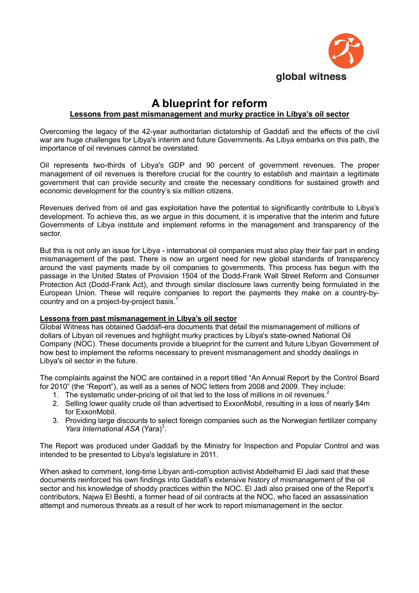

# **A blueprint for reform Lessons from past mismanagement and murky practice in Libya's oil sector**

Overcoming the legacy of the 42-year authoritarian dictatorship of Gaddafi and the effects of the civil war are huge challenges for Libya's interim and future Governments. As Libya embarks on this path, the importance of oil revenues cannot be overstated.

Oil represents two-thirds of Libya's GDP and 90 percent of government revenues. The proper management of oil revenues is therefore crucial for the country to establish and maintain a legitimate government that can provide security and create the necessary conditions for sustained growth and economic development for the country's six million citizens.

Revenues derived from oil and gas exploitation have the potential to significantly contribute to Libya's development. To achieve this, as we argue in this document, it is imperative that the interim and future Governments of Libya institute and implement reforms in the management and transparency of the sector.

But this is not only an issue for Libya - international oil companies must also play their fair part in ending mismanagement of the past. There is now an urgent need for new global standards of transparency around the vast payments made by oil companies to governments. This process has begun with the passage in the United States of Provision 1504 of the Dodd-Frank Wall Street Reform and Consumer Protection Act (Dodd-Frank Act), and through similar disclosure laws currently being formulated in the European Union. These will require companies to report the payments they make on a country-by-country and on a project-by-project basis.<sup>[1](#page-4-0)</sup>

### **Lessons from past mismanagement in Libya's oil sector**

Global Witness has obtained Gaddafi-era documents that detail the mismanagement of millions of dollars of Libyan oil revenues and highlight murky practices by Libya's state-owned National Oil Company (NOC). These documents provide a blueprint for the current and future Libyan Government of how best to implement the reforms necessary to prevent mismanagement and shoddy dealings in Libya's oil sector in the future.

The complaints against the NOC are contained in a report titled "An Annual Report by the Control Board for 2010" (the "Report"), as well as a series of NOC letters from 2008 and 2009. They include:

- 1. The systematic under-pricing of oil that led to the loss of millions in oil revenues.<sup>[2](#page-4-0)</sup>
- 2. Selling lower quality crude oil than advertised to ExxonMobil, resulting in a loss of nearly \$4m for ExxonMobil.
- 3. Providing large discounts to select foreign companies such as the Norwegian fertilizer company Yara International ASA (Yara)<sup>[3](#page-4-0)</sup>.

The Report was produced under Gaddafi by the Ministry for Inspection and Popular Control and was intended to be presented to Libya's legislature in 2011.

When asked to comment, long-time Libyan anti-corruption activist Abdelhamid El Jadi said that these documents reinforced his own findings into Gaddafi's extensive history of mismanagement of the oil sector and his knowledge of shoddy practices within the NOC. El Jadi also praised one of the Report's contributors, Najwa El Beshti, a former head of oil contracts at the NOC, who faced an assassination attempt and numerous threats as a result of her work to report mismanagement in the sector.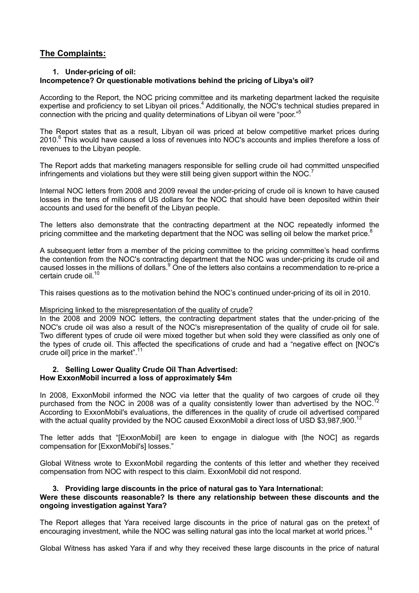## **The Complaints:**

#### **1. Under-pricing of oil: Incompetence? Or questionable motivations behind the pricing of Libya's oil?**

According to the Report, the NOC pricing committee and its marketing department lacked the requisite expertise and proficiency to set Libyan oil prices.<sup>4</sup> [A](#page-4-0)dditionally, the NOC's technical studies prepared in connection with the pricing and quality determinations of Libyan oil were "poor."<sup>[5](#page-4-0)</sup>

The Report states that as a result, Libyan oil was priced at below competitive market prices during 2010.<sup>[6](#page-4-0)</sup> This would have caused a loss of revenues into NOC's accounts and implies therefore a loss of revenues to the Libyan people.

The Report adds that marketing managers responsible for selling crude oil had committed unspecified infringements and violations but they were still being given support within the NOC.<sup>[7](#page-4-0)</sup>

Internal NOC letters from 2008 and 2009 reveal the under-pricing of crude oil is known to have caused losses in the tens of millions of US dollars for the NOC that should have been deposited within their accounts and used for the benefit of the Libyan people.

The letters also demonstrate that the contracting department at the NOC repeatedly informed the pricing committee and the marketing department that the NOC was selling oil below the market price.<sup>[8](#page-4-0)</sup>

A subsequent letter from a member of the pricing committee to the pricing committee's head confirms the contention from the NOC's contracting department that the NOC was under-pricing its crude oil and caused losses in the millions of dollars.<sup>[9](#page-4-0)</sup> One of the letters also contains a recommendation to re-price a certain crude oil.<sup>[10](#page-4-0)</sup>

This raises questions as to the motivation behind the NOC's continued under-pricing of its oil in 2010.

### Mispricing linked to the misrepresentation of the quality of crude?

In the 2008 and 2009 NOC letters, the contracting department states that the under-pricing of the NOC's crude oil was also a result of the NOC's misrepresentation of the quality of crude oil for sale. Two different types of crude oil were mixed together but when sold they were classified as only one of the types of crude oil. This affected the specifications of crude and had a "negative effect on [NOC's crude oil] price in the market".<sup>1</sup>

### **2. Selling Lower Quality Crude Oil Than Advertised: How ExxonMobil incurred a loss of approximately \$4m**

In 2008, ExxonMobil informed the NOC via letter that the quality of two cargoes of crude oil they purchased from the NOC in 2008 was of a quality consistently lower than advertised by the NOC. According to ExxonMobil's evaluations, the differences in the quality of crude oil advertised compared with the actual quality provided by the NOC caused ExxonMobil a direct loss of USD \$3,987,900.<sup>[13](#page-4-0)</sup>

The letter adds that "[ExxonMobil] are keen to engage in dialogue with [the NOC] as regards compensation for [ExxonMobil's] losses."

Global Witness wrote to ExxonMobil regarding the contents of this letter and whether they received compensation from NOC with respect to this claim. ExxonMobil did not respond.

# **3. Providing large discounts in the price of natural gas to Yara International:**

### **Were these discounts reasonable? Is there any relationship between these discounts and the ongoing investigation against Yara?**

The Report alleges that Yara received large discounts in the price of natural gas on the pretext of encouraging investment, while the NOC was selling natural gas into the local market at world prices.<sup>14</sup>

Global Witness has asked Yara if and why they received these large discounts in the price of natural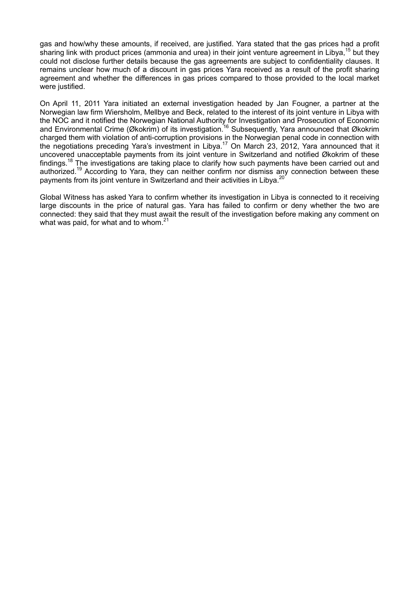<span id="page-2-0"></span>gas and how/why these amounts, if received, are justified. Yara stated that the gas prices had a profit sharing link with product prices (ammonia and urea) in their joint venture agreement in Libya, <sup>[15](#page-4-0)</sup> but they could not [disclose further details because the gas agreements are](http://cws.huginonline.com/Y/134793/PR/201105/1514866_5.html) subject to confidentiality clauses. It remains unclear how much of a discount in gas prices Yara received as a result of the profit sharing agreement and whether the differences in gas prices compared to those provided to the local market were justified.

On April 11, 2011 Yara initiated an external investigation headed by Jan Fougner, a partner at the Norwegian law firm Wiersholm, Mellbye and Beck, related to the interest of its joint venture in Libya with [the NOC and it notified the Norwegian National Authority](http://cws.huginonline.com/Y/134793/PR/201203/1596684_5.html) for Investigation and Prosecution of Economic and Environmental Crime (Økokrim) of its investigation.<sup>[16](#page-4-0)</sup> Subsequently, Yara announced that Økokrim charged them with violation of anti-corruption provisions in the Norwegian penal code in connection with thenegotiations preceding Yara's investment in Libya.<sup>17</sup> On March 23, 2012, Yara announced that it [uncovered unacceptab](http://www.noclibya.com.ly/index.php?option=com_docman&task=cat_view&Itemid=34&gid=74&orderby=dmdate_published&ascdesc=DESC)le payments from its joint venture in Switzerland and notified Økokrim of these findings.<sup>18</sup> The investigations are taking place to clarify how such payments have been carried out and authorized.<sup>19</sup> According to Yara, they can neither confirm nor dismiss any connection between these payments from its joint venture in Switzerland and their activities in Libya.<sup>21</sup>

Global Witness has asked Yara to confirm whether its investigation in Libya is connected to it receiving large discounts in the price of natural gas. Yara has failed to confirm or deny whether the two are connected: they said that they must await the result of the investigation before making any comment on [what was paid, for what and to whom.](http://www.reuters.com/article/2012/03/28/us-libyaexploration-idUSBRE82R0EC20120328) $^{21}$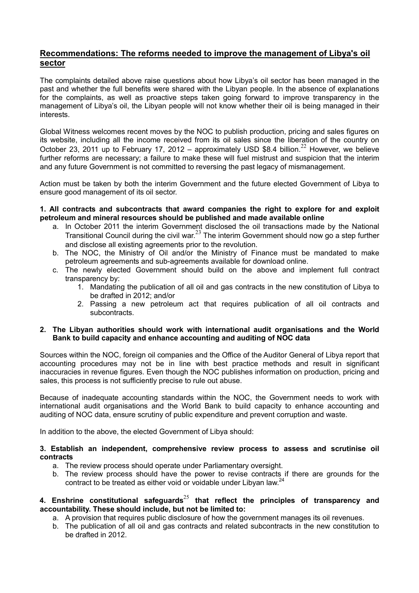### **Recommendations: The reforms needed to improve the management of Libya's oil sector**

The complaints detailed above raise questions about how Libya's oil sector has been managed in the past and whether the full benefits were shared with the Libyan people. In the absence of explanations for the complaints, as well as proactive steps taken going forward to improve transparency in the management of Libya's oil, the Libyan people will not know whether their oil is being managed in their interests.

Global Witness welcomes recent moves by the NOC to publish production, pricing and sales figures on its website, including all the income received from its oil sales since the liberation of the country on October 23, 2011 up to February 17, 2012 – approximately USD \$8.4 billion.<sup>[22](#page-2-0)</sup> However, we believe further reforms are necessary; a failure to make these will fuel mistrust and suspicion that the interim and any future Government is not committed to reversing the past legacy of mismanagement.

Action must be taken by both the interim Government and the future elected Government of Libya to ensure good management of its oil sector.

### **1. All contracts and subcontracts that award companies the right to explore for and exploit petroleum and mineral resources should be published and made available online**

- a. In October 2011 the interim Government disclosed the oil transactions made by the National Transitional Council during the civil war.  $23$  The interim Government should now go a step further and disclose all existing agreements prior to the revolution.
- b. The NOC, the Ministry of Oil and/or the Ministry of Finance must be mandated to make petroleum agreements and sub-agreements available for download online.
- c. The newly elected Government should build on the above and implement full contract transparency by:
	- 1. Mandating the publication of all oil and gas contracts in the new constitution of Libya to be drafted in 2012; and/or
	- 2. Passing a new petroleum act that requires publication of all oil contracts and subcontracts.

### **2. The Libyan authorities should work with international audit organisations and the World Bank to build capacity and enhance accounting and auditing of NOC data**

Sources within the NOC, foreign oil companies and the Office of the Auditor General of Libya report that accounting procedures may not be in line with best practice methods and result in significant inaccuracies in revenue figures. Even though the NOC publishes information on production, pricing and sales, this process is not sufficiently precise to rule out abuse.

Because of inadequate accounting standards within the NOC, the Government needs to work with international audit organisations and the World Bank to build capacity to enhance accounting and auditing of NOC data, ensure scrutiny of public expenditure and prevent corruption and waste.

In addition to the above, the elected Government of Libya should:

### **3. Establish an independent, comprehensive review process to assess and scrutinise oil contracts**

- a. The review process should operate under Parliamentary oversight.
- b. The review process should have the power to revise contracts if there are grounds for the contract to be treated as either void or voidable under Libyan law. $^{24}$  $^{24}$  $^{24}$

## **4. Enshrine constitutional safeguards**[25](#page-2-0) **that reflect the principles of transparency and accountability. These should include, but not be limited to:**

- a. A provision that requires public disclosure of how the government manages its oil revenues.
- b. The publication of all oil and gas contracts and related subcontracts in the new constitution to be drafted in 2012.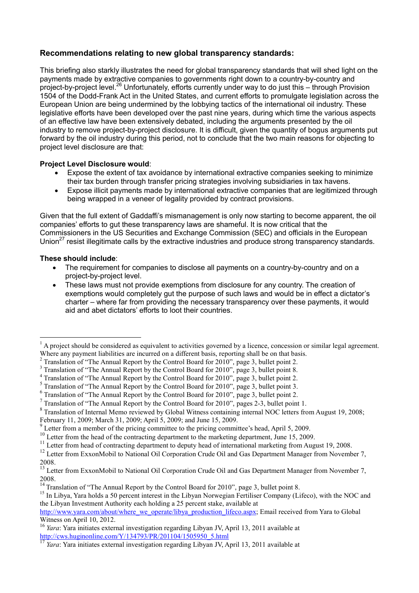### <span id="page-4-0"></span>**Recommendations relating to new global transparency standards:**

This briefing also starkly illustrates the need for global transparency standards that will shed light on the payments made by extractive companies to governments right down to a country-by-country and project-by-project level.[26](#page-2-0) Unfortunately, efforts currently under way to do just this – through Provision 1504 of the Dodd-Frank Act in the United States, and current efforts to promulgate legislation across the European Union are being undermined by the lobbying tactics of the international oil industry. These legislative efforts have been developed over the past nine years, during which time the various aspects of an effective law have been extensively debated, including the arguments presented by the oil industry to remove project-by-project disclosure. It is difficult, given the quantity of bogus arguments put forward by the oil industry during this period, not to conclude that the two main reasons for objecting to project level disclosure are that:

### **Project Level Disclosure would**:

- Expose the extent of tax avoidance by international extractive companies seeking to minimize their tax burden through transfer pricing strategies involving subsidiaries in tax havens.
- Expose illicit payments made by international extractive companies that are legitimized through being wrapped in a veneer of legality provided by contract provisions.

Given that the full extent of Gaddaffi's mismanagement is only now starting to become apparent, the oil companies' efforts to gut these transparency laws are shameful. It is now critical that the Commissioners in the US Securities and Exchange Commission (SEC) and officials in the European Union<sup>[27](#page-2-0)</sup> resist illegitimate calls by the extractive industries and produce strong transparency standards.

### **These should include**:

 $\overline{a}$ 

- The requirement for companies to disclose all payments on a country-by-country and on a project-by-project level.
- These laws must not provide exemptions from disclosure for any country. The creation of exemptions would completely gut the purpose of such laws and would be in effect a dictator's charter – where far from providing the necessary transparency over these payments, it would aid and abet dictators' efforts to loot their countries.

<sup>1</sup> A project should be considered as equivalent to activities governed by a licence, concession or similar legal agreement. Where any payment liabilities are incurred on a different basis, reporting shall be on that basis.

<sup>&</sup>lt;sup>2</sup> Translation of "The Annual Report by the Control Board for 2010", page 3, bullet point 2.

<sup>&</sup>lt;sup>3</sup> Translation of "The Annual Report by the Control Board for 2010", page 3, bullet point 8.

<sup>&</sup>lt;sup>4</sup> Translation of "The Annual Report by the Control Board for 2010", page 3, bullet point 2.

 $<sup>5</sup>$  Translation of "The Annual Report by the Control Board for 2010", page 3, bullet point 3.</sup>

<sup>&</sup>lt;sup>6</sup> Translation of "The Annual Report by the Control Board for 2010", page 3, bullet point 2.

<sup>&</sup>lt;sup>7</sup> Translation of "The Annual Report by the Control Board for 2010", pages 2-3, bullet point 1.

<sup>&</sup>lt;sup>8</sup> Translation of Internal Memo reviewed by Global Witness containing internal NOC letters from August 19, 2008; February 11, 2009; March 31, 2009; April 5, 2009; and June 15, 2009.

 $9<sup>9</sup>$  Letter from a member of the pricing committee to the pricing committee's head, April 5, 2009.

<sup>&</sup>lt;sup>10</sup> Letter from the head of the contracting department to the marketing department, June 15, 2009.

<sup>&</sup>lt;sup>11</sup> Letter from head of contracting department to deputy head of international marketing from August 19, 2008.

<sup>&</sup>lt;sup>12</sup> Letter from ExxonMobil to National Oil Corporation Crude Oil and Gas Department Manager from November 7, 2008.

<sup>&</sup>lt;sup>13</sup> Letter from ExxonMobil to National Oil Corporation Crude Oil and Gas Department Manager from November 7, 2008.

<sup>&</sup>lt;sup>14</sup> Translation of "The Annual Report by the Control Board for 2010", page 3, bullet point 8.

<sup>&</sup>lt;sup>15</sup> In Libya, Yara holds a 50 percent interest in the Libyan Norwegian Fertiliser Company (Lifeco), with the NOC and the Libyan Investment Authority each holding a 25 percent stake, available at

[http://www.yara.com/about/where\\_we\\_operate/libya\\_production\\_lifeco.aspx](http://www.yara.com/about/where_we_operate/libya_production_lifeco.aspx); Email received from Yara to Global Witness on April 10, 2012.

<sup>16</sup> *Yara*: Yara initiates external investigation regarding Libyan JV, April 13, 2011 available at [http://cws.huginonline.com/Y/134793/PR/201104/1505950\\_5.htm](http://cws.huginonline.com/Y/134793/PR/201104/1505950_5.html)l

<sup>17</sup> *Yara*: Yara initiates external investigation regarding Libyan JV, April 13, 2011 available at